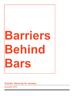# **Barriers Behind Bars**

### **Grantee: Stand Up for Jamaica**

**December 2016**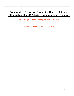## **Comparative Report on Strategies Used to Address the Rights of MSM & LGBT Populations in Prisons**

*PEPFAR Regional Local Capacity Initiative (LCI) Project*

*Implementing Agency: CARICOM-PANCAP*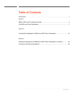# **Table of Contents**

| <b>Section 1</b>                                                         |  |
|--------------------------------------------------------------------------|--|
|                                                                          |  |
| <b>Section 2</b>                                                         |  |
|                                                                          |  |
| <b>Section 3</b>                                                         |  |
| Situational Assessment for MSM and LGBT Prison Populations in Jamaica 16 |  |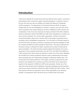### **Introduction**

In their bid to address the myriad issues which pervade the prison system, correctional administrators often overlook the needs of special populations; in particular, those of the men who have sex with men (MSM) and Lesbian Gay Bisexual Transgender (LGBT) populations. The Department of Correctional Services (DCS), the agency charged with the care and rehabilitation of inmates in Jamaica, has more than its fair share of problems even without taking the concerns of MSM and LGBT prisoners into consideration. Given the scarce resources and heavy workload of the DCS, initiatives aimed at meeting the needs of the MSM and LGBT prison populations in a holistic way have not been sustained. As a human rights organization, working in the island's correctional facilities, Stand Up for Jamaica (SUFJ) has played a supporting role by providing a host of rehabilitation programmes. It is in this spirit of continued support to the DCS that SUFJ has taken an interest in assessing and devising strategies to meet the underserved MSM and LGBT populations behind bars. This report represents the first step in trying to understand the rights, experiences and needs of these special prison populations. The report has been prepared against the backdrop of an acute awareness of the increased discrimination and risk of HIV and AIDS which MSM and LGBT prisoners face; these issues are explored in section one of the report. Mitigating the HIV/AIDS risk of these populations demand a basic understanding of the issues these individuals face and implementing strategies to effectively address them. The fact that DCS has limited experience in this regard, provides an opportunity for best practices to be adopted from countries around the world which are far advanced in regards to their approach to MSM and LGBT prison population. Section two of the report will review literature which highlights comparative strategies and best practices used across several countries to address the rights of MSM and LGBT inmates. These best practices will then be assessed in terms of their applicability to the Jamaican situation; an assessment which will be the focus of section three of the report.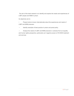The aim of this desk research is to identify and explore the needs and experiences of LGBT people and MSM in prison.

Its objectives are to:

Present what is known internationally about the experiences and needs of LGBT and MSM prisoners

• Identify examples of best practice in prison and penal policy

• Analyze the needs of LGBT and MSM prisoners in Jamaica from an equality and human rights perspective; particularly as it regards access to HIV/AIDS treatment and services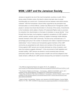## **MSM, LGBT and the Jamaican Society**

Jamaica is reputed to be one of the most homophobic countries on earth. With a strong Judeo-Christian culture, the island's citizens has been slow to accept homosexuality as a social norm. Consensual anal sex between male adults remains outlawed<sup>1</sup>. With the homophobic culture further supported by the perception that homosexuality is a criminal offense, Lesbian Gay Bisexual and Transgender (LGBT) people in Jamaica have faced discrimination in all arenas of the society. Amendments to the Constitution which added a Charter of Fundamental Rights made no provision for protection from discrimination on the basis of orientation or sexual identity<sup>2</sup>. Even through there has been much progress in regards to acceptance of LGBT people in certain quarters, periodic surveys continue to register increasingly hostile attitudes towards members of the LGBT community. The last survey conducted saw a 14 percentage-point jump in the number of Jamaicans who hated or rejected homosexual relationships<sup>3</sup>. Acts of violence and homophobia against members of the LGBT community are perpetrated by both citizens and members of the security forces. Crimes against LGBT persons are normally dismissed as crimes of passion, even when the evidence suggests otherwise<sup>4</sup>. In this environment of both legislative and societal hostility, LGBT persons are denied or avoid accessing basic services, particularly health services. Gaining access to health care services adapted to their needs remains a difficulty for LGBT persons because they are hesitant to reveal their

 $1$  The Offences Against the Person Act section 76-77, 79, available at http://moj.gov.jm/sites/default/files/laws/Offences%20Against%20the%20Person%20Act\_0.pdf

 $2$  The Charter of Rights (and Wrongs) – Commentary, JAMAICA GLEANER, April 5, 2011 available at http://jamaicagleaner.com/gleaner/20110405/cleisure/cleisure3.html. <sup>3</sup> Study Savs Jamaicans Hate Gays but Believe in Conversion, Jamaica Gleaner, April 11,2016

available at http://jamaica-gleaner.com/article/news/20160411/study-says-jamaicans-hategays-believe-conversion

<sup>&</sup>lt;sup>4</sup> Hated to Death: Homophobia, Violence, and Jamaica's HIV/AIDS Epidemic, Human Rights Watch at 13, Nov. 2004, available at http://www.hrw.org/en/reports/2004/11/15/hated-death-0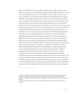sexual orientation to health care providers. Health care providers in Jamaica have often been unwilling to accommodate the special needs of LGBT patients and as such they do not get the care they need. The inability to access health care services, no doubt, increases the risk of transmission of sexually transmitted diseases, including HIV/AIDS, among LGBT persons as they miss out on opportunities for preventative care<sup>5</sup>. This problem of preventative care is even more acute for MSM because many live on the down low and maintain sexual relationships with both male and female partners. The fear of being exposed has contributed to a culture of secrecy and double lives being led by many Jamaican men. In this environment of secrecy, the spread of sexually transmitted diseases can go unchecked as officials have no real data on either the size nor the sexual behaviors and practices of the MSM population. MSM have taken to a life of secrecy because of the levels of violence that have been perpetrated against gay rights activists and members of the LGBT community. The MSM culture in Jamaica is one that is little understood. The main issues affecting MSM revolve around high-risk sexual activity, insufficient health education catered specially to their needs, skewed perception of risk, and harsh socio-cultural prejudices against non-heterosexuality. These factors, among others, combine to result in a disproportionately high HIV prevalence among MSM as revealed by global health surveys and those conducted in Jamaica. The estimated population of MSM in Jamaica is 33,000 with a reported HIV prevalence of 32% $<sup>6</sup>$ . The risk of MSM</sup> contracting HIV is some 20 times higher than the general population but there continues to be a lack of comprehensive targeted intervention for this population. The introduction of gay hook up sites and apps, such as Grindr, has made it much easier for MSM to engage discreetly in high risk behaviors thus making it even more difficult to monitor their behaviour. In the absence of accurate information that is targeted and specially designed to influence the behaviour of key populations, general messaging

<sup>&</sup>lt;sup>5</sup> George Washington University Law School International Human Rights Clinic, Jamaica Forum for Lesbians, All-Sexuals & Gays (J-FLAG) et al, October 2011,Human Rights Violations of Lesbian, Gay, Bisexual and Transgender (LGBT) People in Jamaica: A Shadow Report

 $^6$  Jamaica Aids Support for Life, 2012, Issues Affecting Men Who have Sex With Men in Jamaica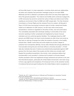will have little impact. It is seen especially in countries where same-sex relationships are taboo and unspoken that prevention messages simply do not reach MSM effectively and this is reflected in prevalence rates which are many times higher than that of the general population. The violence and hostility which continues to plague the LGTB community has served to cement the culture of taboo and silence even further, creating an environment of fear for MSM and LGBT people alike. The Inter-American Commission on Human Rights and the Jamaica Forum for Lesbian, All-Sexuals & Gays (J-FLAG) have documented numerous cases of murder, assault and threats meted out to defenders of LGBT persons. As with many other social issues, homophobia in Jamaica is negotiated on the basis of class, race and social status. The vulnerability associated with individuals residing in communities of low socioeconomic standing is further complicated and heightened by issues of sexual orientation and non-conformist gender identities. The challenges faced by LGBT persons and MSM living in the lower income brackets are often times more acute as they have no real way of escape from either the situation of poverty or the hostility towards them. Wealth, social class and social capital can provide a degree of protection from homophobic attitudes. Survey data indicates that anti-gay attitudes are more prevalent among the poor and those without a university education<sup>7</sup>. J-FLAG data also indicates that acts of violence are predominantly perpetrated against LGBT persons from the lower strata of the society and that victims are normally male<sup>8</sup>. Despite the prevailing homophobia in the country, many Jamaicans believe that homosexuality is very prevalent in Jamaica and is present in all social classes $9$ . Another perception which has heightened anti-gay sentiments and activism is the view that international players, particularly the United States Government, have been trying to force a gay agenda and acceptance of homosexual norms on the Jamaican society. It is believed that aid and grant funding from the United States is tied to acceptance of

 $7$  Boxhill, Ian, 2011, National Survey on Attitudes and Perceptions of Jamaicans Towards Same-Sex Relationships<br><sup>8</sup> J-FLAG, December 2013, Homophobia and Violence in Jamaica<br><sup>9</sup> Boxhill, Ian, 2012, National Survey on Attitudes and Perceptions of Jamaicans Towards

Same-Sex Relationships: A Follow Up Study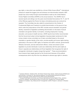gay rights, a view which was rebuffed by a former White House official<sup>10</sup>. International pressure to repeal the buggery law and embrace non-discrimination towards LGBT people has come mostly through recommendations made by the United Nations Human Rights Committee (UNHRC) at its annual sessions. The UNHRC has in several reports and sittings over the years recommended that sections 76, 77, and 79 of the Offenses against the Person Act (laws criminalizing same-sex conduct) be repealed. The Committee has also called for amendments to the Charter of Fundamental Rights and Freedoms to prohibit discrimination on the ground of sex, which under the jurisprudence of the HRC includes sexual orientation and gender identity; enactment of legislation prohibiting discrimination on the basis of sexual orientation and gender identity in all realms, including employment, housing, education, and access to health services. UNHR reports have further recommended that the Government adopt criminal legislation imposing higher sentences for hate crimes (violent crimes committed out of hate) committed based on the sexual orientation or gender identity of the victim, provide equality and human rights training, particularly in the area of LGBT rights, for teachers and staff in schools, governmental officials at all levels, and law enforcement officers, review and amend current legislation to provide individuals in same-sex relationship with the same rights as those in opposite sex-relationships and Enact legislation that recognizes the right of transgender individuals to legally change their gender $^{11}$ . These recommendations have however been largely ignored by the Government because of the political consequences which may flow from any attempts to advance gay rights in Jamaica.

 $^{10}$  Jamaica Gleaner, October 2016, US Doesn't Export Gay Values, Claims Former Whitehouse Administrator, accessed at: http://jamaica-gleaner.com/article/lead-stories/20161026/usdoesnt-export-gay-values-claims-former-white-house-administrator

<sup>&</sup>lt;sup>11</sup> George Washington University Law School International Human Rights Clinic, Jamaica Forum for Lesbians, All-Sexuals & Gays (J-FLAG) et al, October 2011,Human Rights Violations of Lesbian, Gay, Bisexual and Transgender (LGBT) People in Jamaica: A Shadow Report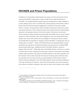## **HIV/AIDS and Prison Populations**

Conditions of overcrowding, limited health care access, and the environment of fear and sexual frustration make prison a ready crucible for the rapid transmission of HIV/AIDS. The societal attitudes towards same sex relationship are often amplified in a prison setting and as such in countries with a strong anti-gay culture there is often a denial of the fact that homosexual engagement is prevalent in the prison system. There is, however, strong evidence which indicates that prisoners are prone to adopt risky sexual behaviors. When viewed through social constructivist lens, fluid/changing sexuality is an expected outcome of the social system of the prison environment. Prison subculture makes situational homosexuality permissible even as many inmates continue to hold homophobic views while engaging in same sex activity behind bars. Studies have shown that inmates who are engaged in homosexual activity in prison are actually likely to experience a change in sexual orientation; a change they may not readily admit or confess<sup>12</sup>. Rates of HIV/AIDS infection are generally higher in prison populations as opposed to the general population and does point to increased MSM sexual activity behind bars. Globally the rate of HIV/AIDS infection in prison is between 20% and 40% $^{13}$ . While high rates of HIV/AIDS infection is driven by a number of factors which include: injecting drug users who continue to inject while incarcerated, unsafe medical practices, high rates of HIV/AIDS infection in the wider population and the increase in the number of people from this pool receiving prison sentences; they are primarily driven by same sex sexual contact between inmates while in prison<sup>14</sup>. Another critical consideration in the HIV/AIDS epidemic facing correctional institutions is the high incidences of recidivism. Given that most prisoners serve short sentences and continue to reoffend, resulting in their return to prison, their transition and mobility

 $12$  Lauren Gibson & Christopher Henseley (2013), The Social Construction of Sexuality in Prison, The Prison Journal

<sup>&</sup>lt;sup>13</sup> Jurgens et al (2011), HIV & Incarceration: Prison and Detention, Journal of the International AIDS Society<br><sup>14</sup> UN Office on Drugs and Crime (2006), HIV/AIDS Prevention, Care, Treatment and Support

in Prison Settings: A Framework for an Effective National Response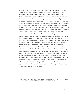between prison and the communities to which they return becomes quite frequent. The HIV/AIDS and health risk to the wider community in this scenario is clearly a serious concern that is oftentimes not addressed by national health systems. HIV/AIDS in prison settings should be a serious health concern for prison authorities given that international law stipulates that prisoners should attain the highest possible standard of health. This is based on the principle that prisoners retain all of their rights that are not taken away by virtue of their incarceration and includes the right to proper physical and mental health. These rights and the attendant obligations on states to uphold and make provisions for same are enshrined in Article 25 of the United Nations Universal Declaration of Human Rights and Article 12 of the International Covenant on Economic, Social, and Cultural Rights<sup>15</sup>. Additionally, the rights guaranteed to prisoners in respect of health services has been accepted in general terms by the international community as there is agreement on the international stage that losing one's liberty is punishment enough and should not be further compounded by lack of or limited access to health care, in particular HIV/AIDS services. States therefore have an obligation to implement legislation, policies, and programmes consistent with international human rights norms, and to ensure that prisoners are provided a standard of health care equivalent to that available in the outside community. Authorities should also be minded to consider the fact that prisoners will ultimately return to the communities from which they came and as such will carry with them the HIV/AIDS contracted in prison. The HIV/AIDS epidemic common across Caribbean countries has already put a strain on the economic and social systems of these countries and as such prevention and mitigation programmes from within the prison system have to also be implemented in concert with those being carried out in the wider community. Given the multilayered dimensions of the HIV/AIDS situation in the region it has become increasingly imperative that HIV/AIDS in prison be seen as both a public health and human rights issue.

<sup>&</sup>lt;sup>15</sup> UN Office on Drugs and Crime (2006), HIV/AIDS Prevention, Care, Treatment and Support in Prison Settings: A Framework for an Effective National Response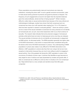Prison populations are predominantly male and most prisons are male-only institutions, including the prison staff. In such a gender exclusive environment, maleto-male sexual activity (prisoner-to-prisoner and guard-to-prisoner) is frequent. The frequency of such engagements is bound to be higher than the reported instances given the cultural attitudes, denial and fear of being  $exposed^{16}$ . While it remains difficult to collect data on sexual activity behind bars because of the many ethical and methodological challenges, studies have shown that both consensual and nonconsensual sex does occur with reported rates ranging from 1% to 10% based on what has been reported in research conducted globally<sup>17</sup>. Same sex activity in prison can be a result of the sexual orientation of prisoners but many prisoners do not identify as homosexuals and, as such, have what researchers refer to as a fluid construct of sexuality. The research data indicates that some prisoners engage in homosexual activities while behind bars but return to heterosexual norms once they are released. The sexual activities of prisoners who do not identify as homosexuals is categorized as MSM activity. As discussed earlier, The MSM population generally has higher rates of HIV/AIDS transmission, a fact which is compounded when considered along with the factors which drive HIV/AIDS transmission in prisons. The underreporting of MSM populations in prisons also makes it very difficult for HIV/AIDS intervention to be effective. LGBT populations in prisons also face their own unique risk but are more receptive to intervention because they are much more willing to admit to engaging in sexual activity. One of the greatest risk facing the LGBT population in prison is the occurrence of incidents of prison rape. A prisoner that identifies as gay becomes an easy target for acts of violence and rape perpetrated by inmates and guards alike. If data on consensual sex is difficult to come by then it is doubly so for non-consensual sex. Rape behind bars is a very complex and sensitive issue that often goes unreported.

<sup>&</sup>lt;sup>16</sup> UNAIDS et al, 2007, HIV and Prisons in sub-Saharan Africa: Opportunities for Action<br><sup>17</sup> Jurgens et al (2011), HIV & Incarceration: Prison and Detention, Journal of the International AIDS Society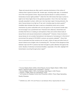Rape and sexual abuse are often used to exercise dominance in the culture of violence that is typical of prison life. Inmate rape, including male rape, is considered one of the most ignored crimes. Sexual and physical abuse in custody remains a tremendous human rights problem<sup>18</sup>. Data from the USA shows that rape in prison is eight to ten times higher than in the general population. One in five men has been sexually assaulted in prison, while one in ten has been raped. Among prisoners, the rate of sexual abuse is as high as 27 per cent, including rape by prison guards<sup>19</sup>. Available data indicates that rape is used as a disciplinary tactic and a control mechanism by prison authorities who not only ignore or do not prevent inmate rape, but encourage it as a punishment tool. Prisoners form alliances, hierarchies and enmities that thrive on creating an atmosphere of fear and control where trade of sexual favors and sexual enslavement is widespread<sup>20</sup>. However, those involved in sexual abuse do not consider themselves to be bisexual or homosexual. In this kind of environment the spread of HIV/AIDS in prisons can persist unabated $^{21}$ . Given that force is exercised and that condoms are not used, victims of rape and other forms of sexual violence are at higher risk of contracting HIV. The issue of the dangerous links between rape and HIV in prisons has been brought to public attention throughout the world. Studies of individual correctional facilities, especially in the USA, highlight HIV transmission occurring through prison rapes $^{22}$ .

Deadly Diseases

 $\overline{a}$ 

 $22$  UNAIDS et al, 2007, HIV and Prisons in sub-Saharan Africa: Opportunities for Action

<sup>&</sup>lt;sup>18</sup> Human Rights Watch (2002). World Report; Human Rights Watch (1999). World Report. Special Programs and Campaigns—Prisons

 $19$  Human Rights Watch (1991). No Escape: Male Rape in USA Prisons

 $20$  Parenti J (1999). Rape as a Disciplinary Tactic

 $21$  US Centers for Disease Control and Prevention (2002). Prison Rape Spreading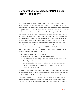## **Comparative Strategies for MSM & LGBT Prison Populations**

LGBT and self-identified MSM prisoners face unique vulnerabilities in the prison system. In addition to their increased risk of HIV/AIDS transmission, they face the constant threat of rape and sexual abuse. The stigma and discrimination attached with being labelled as MSM or LGBT in prison means that these prisoners are re-victimized and in essence are in a prison within a prison. The challenges and barriers they face in sometimes even being allowed to participate in regular activities within prison can serve as a hindrance to the full protection of their human rights. The special needs and challenges of LGBT and MSM offenders pertain to protection from sexual abuse and rape, how complaints are handled in the instances of rape and abuse, health care, accommodation in rehabilitation programmes, maintenance of family ties, preparation for release and post-release support. In respect of international standards governing the treatment and management of LGBT and MSM prisoners; there are no special rules that apply, however, the general rights of these prisoners are covered under the following international conventions:

- $\triangleright$  Universal Declaration of Human Rights
- $\triangleright$  International Convention on Civil and Political Rights
- $\triangleright$  United Nations Convention Against Torture and Other Cruel, Inhuman or Degrading Treatment or Punishment
- $\triangleright$  United Nations Standard Minimum Rules for the Treatment of Prisoners
- Ø Body of Principles for the Protection of All Persons Under Any Form of Detention or Imprisonment

In addition to this body of international human rights law, there is general agreement in the international community that Governments should pay particular attention to the needs of LGBT and MSM prisoners. This agreement was enshrined in The Yogyakarta Principles on the Application of International Human Rights Law in Relation to Sexual Orientation and Gender Identity which was adopted in 2006. Principle nine of the agreement has mandated that states ensure that placement in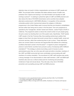detention does not result in further marginalization and abuse of LGBT people and MSM. The principle further mandates that states address issues of health care, protection from violence and training in non-discrimination and equality for staff working in prisons<sup>23</sup>. In seeking to uphold the rights of LGBT and MSM prisoners and also reduce the risks of HIV/AIDS transmission some countries have adopted alternative sentencing for LGBT/MSM offenders. In recognition of the extremely vulnerable position which imprisonment places this category of offenders, programmes in the United States seek to ensure that they are diverted to rehabilitation services rather than being sent to prison in the first place. One such programme is operated by the Transgender, Gender Variant and Intersex, Justice Project (TGIJP) in California. The programme seeks to reduce the overall number of such people going into jail or prison by diverting them out of the system early. Specifically, TGIJP assists LGBT people in the San Francisco Bay Area awaiting sentencing to petition their judges to divert them into plans that would connect them to needed health, social and economic services, rather than sentencing them to jail or prison. These alternative plans can connect clients to services and opportunities that address the underlying conditions that lead to arrest in the first place<sup>24</sup>. In regards to prison management, prisons in some Nordic countries have pursued a policy of employing staff of different orientations $^{25}$ . This strategy is aimed at providing a point of access to prison administrators given that, as is the case with racial and ethnic minorities, members of the LGBT and MSM community feel more comfortable communicating with staff members of a similar orientation. The recruitment of LGBT staff members also sends a strong message of non-discrimination to other staff members. LGBT and MSM staff members also serve as a critical contact point for monitoring and preventing incidences of rape and sexual abuse. They also play a key role in HIV/AIDS prevention and counselling among LGBT and MSM prisoners.

<sup>&</sup>lt;sup>23</sup> Accessed at: www.yogyakartaprinciples.org/index.php?item=25#\_Toc161634693<br><sup>24</sup> For further information, see www.tgjip.org<br><sup>25</sup> United Nations Office on Drugs and Crime (2009), Handbook on Prisoners with Special

Needs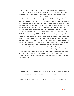Ensuring access to justice for LGBT and MSM prisoners is another critical strategy that is practiced in first world countries. Organizations which deal with LGBT issues are allowed to take up the cases of these prisoners through the provision of legal services and legal aid. In this way LGBT and MSM prisoners do not languish in prison for lack of legal representation. Access to justice for LGBT and MSM people can be a challenge in a culture where they are discriminated against. Not only are they at risk of receiving harsher punishment due to the prejudice of judges but they also may not be able to secure the services of a lawyer because of their sexuality $^{26}$ . Prison authorities in the United States, Canada and the United Kingdom in recognizing the risk of prolonged incarceration for this vulnerable group has created partnerships with LGBT advocacy groups which provide legal services which cater to the needs of LGBT and MSM prisoners. Separating LGBT and MSM prisoners from the general population has also been accepted as an international best practice. The aim of classification and allocation of prisoners should be to ensure that LGBT and MSM prisoners are placed wherever is best for their safety<sup>27</sup>. While it is the common practice to segregate LGBT prisoners for their safety, it can become a discriminatory act given that prisoners will be classified for segregation based on whether or not they exhibit effeminate behaviour. The risk with this kind of approach is that self-identified gay and MSM men who do not behave in effeminate ways may actually end up being housed with the general population. The best practice is for placement and classification to be done in consultations with prisoners<sup>28</sup>. The particular classification and placement of transgender prisoners is also an issue which prison authorities have resolved through a consultative process.

 $26$  Sadhbh Walshe (2012), The Grim Truth of Being Gay in Prison, The Guardian, accessed at : https://www.theguardian.com/commentisfree/cifamerica/2012/mar/07/grim-truth-gay-in-prison

<sup>&</sup>lt;sup>27</sup> Yogyakarta Principles, Principle 9 A<br><sup>28</sup> United Nations Office on Drugs and Crime (2009), Handbook on Prisoners with Special Needs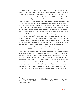Maintaining contact with the outside world is an important part of the rehabilitation process for prisoners and is a right that should be extended to all prisoners regardless of orientation. In jurisdictions where conjugal visits are permitted for heterosexuals, there has been an extension of this facility to LGBT and MSM prisoners. In July 2007 the National Human Rights Commission of Mexico announced that the city's prison system had allowed the first conjugal visit to a prisoner with a sexual orientation other than heterosexual, in line with the Commission's recommendations. As reports of abuse and sexual assault of LGBT and MSM prisoners have increased over the years there has been a need for country specific policy guidelines to be developed to ensure their protection and safety within the prison system. The American Bar Association Criminal Justice Standards on the Treatment of Prisoners is a model of such a policy guideline. A 2010 revision of the standards included particular provisions governing LGBT and MSM prisoners $^{29}$ . The standards have been adopted by correctional facilities across America and are used by the association to monitor the treatment of these inmates by prison authorities. In Ireland, the Irish Penal Reform Trust has been pursuing a number of initiatives to increase research on LGBT and MSM populations in prisons. The Trust has noted that globally there is limited research on the experiences and needs of LGBT prisoners<sup>30</sup>. In a bid to provide policy guidance on the treatment of the LGBT population in prison, the organization has forged a partnership with the prison authorities in Ireland to conduct research and provide insights on the challenges and issued faced by this vulnerable group. This is another international best practice in regards to the strategies needed to address the needs of the LGBT and MSM populations. Research in this area is desperately needed as LGBT and MSM prisoners continue to be a hidden and overlooked group in the prison industrial complex. The neglect of LGBT and MSM prisoners stem from the fact that authorities do not know much about the needs of this population. The provision of condoms in prisons is an initiative which is implemented in several prisons as a preventative measure and has been effective in reducing HIV/AIDS risk behind bars. Many prison

 $^{29}$  Margaret Colgate Love & Giovanna Shay (2012), Gender and Sexuality in the ABA Standards on the Treatment of Prisoners. Western New England University School of Law.  $30$  Irish Penal Reform Trust (2016), Out on the Inside, The Rights, Experiences and Needs of of LGBT People in Prison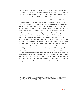systems, including in Australia, Brazil, Canada, Indonesia, the Islamic Republic of Iran, South Africa, some countries from the former Soviet Union, and a small number of jail and prison systems in the United States, provide condoms<sup>31</sup>. This strategy has been proven to reduce the HIV/AIDS risk of LGBT and MSM prisoners.

In response to concerns about rape and sexual assault behind bars United States law makers passed in law the Prison Rape Elimination Act (PREA) in 2003. The Act established the National Prison Rape Elimination Commission (NPREC) which was charged with undertaking a study on the extent and effects of prison rape. The commission was also tasked with developing standards to be implemented by prison authorities to prevent rape and sexual assault. The standards require correctional facilities to engage in prevention planning, responsive planning, training and education, screening for risk of sexual victimization and abusiveness, reporting, investigations, medical and mental care, data collection and review, audits and compliance. The standards require inmates to be screened for risk of being sexually abused or sexually abusive; that screening information is then used to inform housing, bed, work, education, and program assignments for inmates. The goal is to keep those individuals at high risk of victimization away from those at high risk of committing abuse. However, facilities may not simply place victims in segregated housing against their will unless a determination has been made that no alternative means of separation is available, and even then only under specified conditions and with periodic reassessment. The standards requires agencies to document instances when a decision is made to place someone in segregated housing. Another important aspect of the standard is the reporting mechanism which demands that measures be put in place to ensure victims remain anonymous if they so desire<sup>32</sup>.

https://www.prearesourcecenter.org/training-technical-assistance/prea-essential

<sup>&</sup>lt;sup>31</sup> World Health Organization et al (2007), Effectiveness of interventions to manage HIV in prisons – Provision of condoms and other measures to decrease sexual transmission. (Evidence for action technical papers) National PREA Resource Centre (2016), PREA Essentials, accessed at: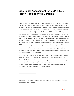## **Situational Assessment for MSM & LGBT Prison Populations in Jamaica**

Recent research conducted by Stand Up for Jamaica (SUFJ) in partnership with the Caribbean Vulnerable Communities (CVC) confirms the stigma and discrimination faced by LGBT and MSM inmates in the Jamaican prison system. The country's main adult male prisons, The Tower Street Adult Correctional Facility, commonly referred to as General Penitentiary (GP) and the St. Catherine Adult Correctional Facility, houses self-identified and prisoners perceived as LGBT or MSM in a segregated part of both prisons known as the "Special Block" or "special". Both are maximum security facilities where men serve sentences from 30 days to life imprisonment. Interviews with former inmates of the block, who participated in a health and wellness follow up research study conducted by SUFJ, confirmed that being identified as a LGBT person or as an MSM placed them at greater risk of being sexually and physically abused $^{33}$ .

SUFJ, through its human rights advocacy, continues to provide support to these inmates, who face stigma and discrimination based on the conditions of incarceration; their sexuality and/ or their HIV status.

Tower Street houses between 1600 to 1800 inmates, 150 of which are self-identified MSM. St. Catherine houses some 927 self-identified heterosexuals and 65 selfidentified MSM. The prevailing conditions which generally lead prisoners to engage in sexual activity has been observed among these inmates with particular concerns being raised about the insufficient attention being paid to their sexual health, which then leads to unhealthy sexual and lifestyle practices.

<sup>&</sup>lt;sup>33</sup> Sandra Alvaranga (2016), SUJF/CVC Health and Wellness Intervention for MSM Former Inmates Post Project Research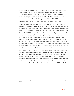In response to the problems of HIV/AIDS, stigma and discrimination, The Caribbean Vulnerable Communities/El Centro de Orientación e Investigación Integral (CVC/COIN) and Stand Up For Jamaica (SUFJ) offered a health and wellness programme designed to include the incarcerated MSM populations. As a post incarceration follow up for the MSM population, SUFJ and CVC/COIN offered a three day workshop to support, empower and facilitate reintegration into society.

The follow up research was conducted to determine the extent to which the two interventions positively affected this group of participants' knowledge levels, behaviour and coping skills. The research revealed that ex-inmates found it very difficult to cope with the double stigma of being imprisoned in the first instance and then placed on the "Special Block." 75% of respondents said that they feared being raped and considered suicide while incarcerated<sup>34</sup>. An interesting finding from the follow up research highlighted the fact that even though the health and wellness programme had increased the awareness of the inmates in regards to healthy lifestyle choices, it did not consistently translate into sound sexual practices and indicates that the prison environment is not conducive in this regard. This finding from the research is related to the fact that the Jamaican authorities have refused to provide condoms for prisoners. It has been argued that the distribution of condoms is a tacit embrace of homosexual lifestyles and as such the Government feels forced to deny or oppose the introduction of condoms behind bars as it may prove politically and ethically problematic. The church has been particularly strident in its opposition to the issuance of condoms in prisons. Correctional employees have also been opposed to any initiative which would provide condoms for prisoners. A Commissioner of Corrections who announced that condoms will be distributed was forced to resign. Prison Wardens went on strike and riots broke out at Tower Street Correctional Facility and sixteen LGBT and MSM

<sup>34</sup> Sandra Alvaranga (2016), SUJF/CVC Health and Wellness Intervention for MSM Former Inmates Post Project Research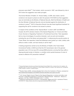prisoners were killed<sup>35</sup>. That incident, which occurred in 1997, was followed by riots in 2010 when the suggestion was made yet again.

The former Minister of Health, Dr. Horace Dalley, in 2006, also made a call for condoms to be issued in prisons to stem the spread of HIV/AIDS but that suggestion was not met kindly by the Ministry of National Security. Both the Minister of Health and the then Minister of National Security met and decided against the distribution of condoms in prison<sup>36</sup>. SUFJ's Executive Director has also faced significant backlash for supporting the call for condoms to be issued in prisons.

In respect of the conditions of the "Special Block" in which LGBT and MSM are housed, the 2010 Jamaica mission of the Special Rapporteur on Torture and Other Cruel, Inhuman or Degrading Treatment or Punishment found that, "their separation led to a loss of privileges of a punitive character, such as work and recreation, including the use of the library and playing field". In referencing the security section at Tower Street, the rapporteur noted that detainees were locked up in dark, solitary cells without a toilet or water, and had nobody to call for help<sup>37</sup>.

A testing programme carried out by the Ministry of Health in the Tower Street Correctional Facility in 2005 found that the HIV transmission rate in the general population was 3.3% but was 25% among MSM prisoners, proving that they suffer a disproportionate burden of infection; a condition which persist because of a lack of access to effective HIV prevention methods $^{38}$ .

<sup>&</sup>lt;sup>35</sup> George Washington University Law School International Human Rights Clinic, Jamaica Forum for Lesbians, All-Sexuals & Gays (J-FLAG) et al, October 2011,Human Rights Violations of Lesbian, Gay, Bisexual and Transgender (LGBT) People in Jamaica: A Shadow Report

 $36$  Reuters News (2006), Jamaica Decides Not to Give Out Condoms in Prisons, accessed at : http://petershope.blogspot.com/2006/07/jamaica-decides-not-to-give-out.html

<sup>&</sup>lt;sup>37</sup> U.N. Human Rights Council, Report of the Special Rapporteur on torture and other cruel, inhuman or degrading treatment or punishment, Manfred Nowak - Addendum - Mission to Jamaica, U.N. Doc. A/HRC/16/52/Add.3 (Oct. 11, 2010)

Jamaica, U.N. Doc. America, 11, 2011), Homophobia, Stigma and HIV in Jamaican Prisons, accessed at: https://www.ncbi.nlm.nih.gov/pmc/articles/PMC3010280/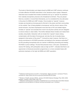The levels of discrimination and stigma faced by MSM and LGBT prisoner continues to hinder effective HIV/AIDS intervention in the Jamaican prison system. Research interviews have revealed that inmates sometimes end up on "special" for protection from violently homophobic prisoners who threatened to kill them. They are placed there by a warder or moved there themselves, as it is considered the only safe place in the prison for MSM and LGBT inmates. Once located on "special", however, inmates are branded as homosexuals for life both in the prison and their communities on the outside. Fear of being labelled a homosexual, and the chronic nature of this social exclusion, has been emphasized more than fear of HIV and related stigma. Inmates on "special" are excluded from most if not all prison activity and are relegated to remove refuse or clean toilets. This further debases these inmates and makes them socially untouchable. Interaction with an inmate from "special" means risking contamination with the label of homosexual, and also the risk of actually being assigned to that section of the prison<sup>39</sup>. It should be noted, however, that there is a strong commitment to HIV/AIDS prevention and testing by the Jamaican authorities<sup>40</sup> but the prevailing homophobia acts as a barrier to effectively preventing and treating HIV/AIDS in prison settings. The fact that prisoners have, in the past, volunteered to receive HIV testing, with participation rates as high as  $63\%$ <sup>41</sup>, indicates that there is an opportunity to introduced prevention programmes on a more consistent basis with particular emphasis on the high risk MSM and LGBT population.

 $39$  Katherine Andrinopoulos et al (2011), Homophobia, Stigma and HIV in Jamaican Prisons, accessed at: https://www.ncbi.nlm.nih.gov/pmc/articles/PMC3010280/

<sup>&</sup>lt;sup>40</sup> Ministry of Health Jamaica (MOH). Jamaica HIV/AIDS National Strategic Plan 2002–2006. Kingston, Jamaica, West Indies: 2001 Oct.

 $^{41}$  Katherine Andrinopoulos et al (2010), Establishment of an HIV/sexually transmitted disease programme and prevalence of infection among incarcerated men in Jamaica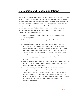### **Conclusion and Recommendations**

Despite the high levels of homophobia which continues to impede the effectiveness of HIV/AIDS treatment and prevention programmes in Jamaica's correctional facilities, the commitment of the Jamaican Government to the reduction of HIV spread and the willingness of inmates to participate in voluntary testing provides a glimmer of hope. Through sustained advocacy and evidenced based approaches, the changes required to improve the treatment of MSM and LGBT prisoners so that they can access HIV care and support more effectively can be achieved. It is with this hope that the following recommendations are made:

- $\triangleright$  Review criminal legislation relating to same sex relationships between consenting adults
- $\triangleright$  Pass into law prison rape prevention legislation and attendant standards and regulations
- $\triangleright$  Ensure that LGBT and MSM persons are not discriminated against in consideration for non-custodial measures and sanctions on the basis of their sexual orientation and gender identity. As with all offenders, LGBT offenders who have committed non-violent offences and who do not pose a risk to society should benefit from non-custodial sanctions and measures, better suited to their social reintegration. In this context, sentencing authorities should be made aware of the extreme vulnerability of LGBT persons in prisons.
- $\triangleright$  Develop policies and strategies that ensure the maximum possible protection of LGBT and MSM prisoners, which prohibit discrimination on the basis of sexual orientation and gender identity
- $\triangleright$  Ensure disciplinary action of staff who fail to respect such principles, recognize prisoners' right to privacy with respect to their sexual orientation and gender identity, and which facilitate their social reintegration in an effective manner. To consult with community representatives of LGBT groups and organizations in formulation of appropriate policies and strategies. To develop measurable standards to assess and evaluate the outcomes of such strategies and practices.